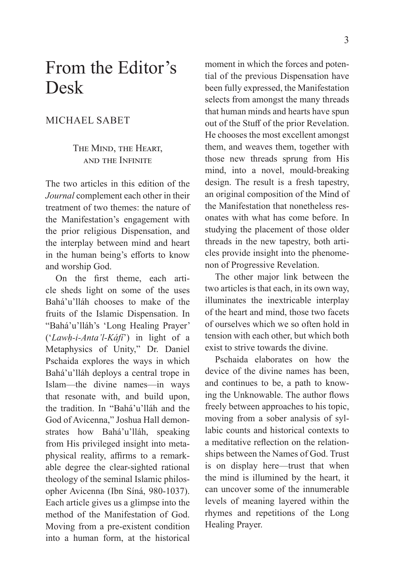## From the Editor's Desk

## MICHAEL SABET

## THE MIND, THE HEART, AND THE INFINITE

The two articles in this edition of the *Journal* complement each other in their treatment of two themes: the nature of the Manifestation's engagement with the prior religious Dispensation, and the interplay between mind and heart in the human being's efforts to know and worship God.

On the first theme, each article sheds light on some of the uses Bahá'u'lláh chooses to make of the fruits of the Islamic Dispensation. In "Bahá'u'lláh's 'Long Healing Prayer' ('*Lawḥ-i-Anta'l-Káfí*') in light of a Metaphysics of Unity," Dr. Daniel Pschaida explores the ways in which Bahá'u'lláh deploys a central trope in Islam—the divine names—in ways that resonate with, and build upon, the tradition. In "Bahá'u'lláh and the God of Avicenna," Joshua Hall demonstrates how Bahá'u'lláh, speaking from His privileged insight into metaphysical reality, affirms to a remarkable degree the clear-sighted rational theology of the seminal Islamic philosopher Avicenna (Ibn Síná, 980-1037). Each article gives us a glimpse into the method of the Manifestation of God. Moving from a pre-existent condition into a human form, at the historical

moment in which the forces and potential of the previous Dispensation have been fully expressed, the Manifestation selects from amongst the many threads that human minds and hearts have spun out of the Stuff of the prior Revelation. He chooses the most excellent amongst them, and weaves them, together with those new threads sprung from His mind, into a novel, mould-breaking design. The result is a fresh tapestry, an original composition of the Mind of the Manifestation that nonetheless resonates with what has come before. In studying the placement of those older threads in the new tapestry, both articles provide insight into the phenomenon of Progressive Revelation.

The other major link between the two articles is that each, in its own way, illuminates the inextricable interplay of the heart and mind, those two facets of ourselves which we so often hold in tension with each other, but which both exist to strive towards the divine.

Pschaida elaborates on how the device of the divine names has been, and continues to be, a path to knowing the Unknowable. The author flows freely between approaches to his topic, moving from a sober analysis of syllabic counts and historical contexts to a meditative reflection on the relationships between the Names of God. Trust is on display here—trust that when the mind is illumined by the heart, it can uncover some of the innumerable levels of meaning layered within the rhymes and repetitions of the Long Healing Prayer.